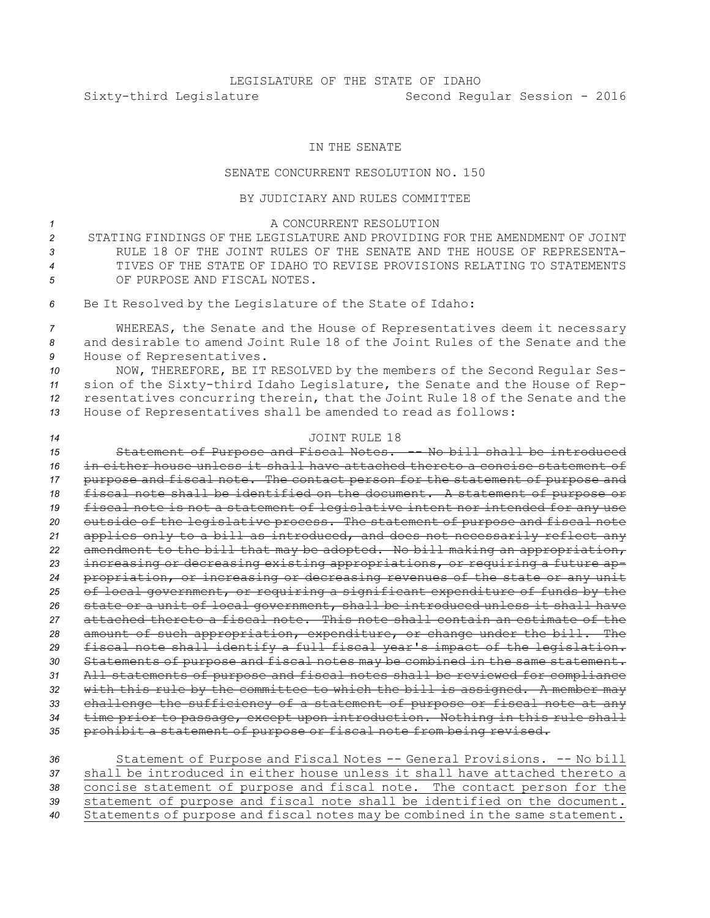## IN THE SENATE

## SENATE CONCURRENT RESOLUTION NO. 150

## BY JUDICIARY AND RULES COMMITTEE

<sup>1</sup> A CONCURRENT RESOLUTION STATING FINDINGS OF THE LEGISLATURE AND PROVIDING FOR THE AMENDMENT OF JOINT RULE 18 OF THE JOINT RULES OF THE SENATE AND THE HOUSE OF REPRESENTA- TIVES OF THE STATE OF IDAHO TO REVISE PROVISIONS RELATING TO STATEMENTS OF PURPOSE AND FISCAL NOTES. Be It Resolved by the Legislature of the State of Idaho:

*<sup>7</sup>* WHEREAS, the Senate and the House of Representatives deem it necessary *8* and desirable to amend Joint Rule 18 of the Joint Rules of the Senate and the *<sup>9</sup>* House of Representatives.

 NOW, THEREFORE, BE IT RESOLVED by the members of the Second Regular Ses- sion of the Sixty-third Idaho Legislature, the Senate and the House of Rep- resentatives concurring therein, that the Joint Rule 18 of the Senate and the House of Representatives shall be amended to read as follows:

## *14* JOINT RULE 18

 Statement of Purpose and Fiscal Notes. -- No bill shall be introduced in either house unless it shall have attached thereto <sup>a</sup> concise statement of purpose and fiscal note. The contact person for the statement of purpose and fiscal note shall be identified on the document. <sup>A</sup> statement of purpose or fiscal note is not <sup>a</sup> statement of legislative intent nor intended for any use outside of the legislative process. The statement of purpose and fiscal note applies only to <sup>a</sup> bill as introduced, and does not necessarily reflect any amendment to the bill that may be adopted. No bill making an appropriation, increasing or decreasing existing appropriations, or requiring <sup>a</sup> future ap- propriation, or increasing or decreasing revenues of the state or any unit of local government, or requiring <sup>a</sup> significant expenditure of funds by the state or <sup>a</sup> unit of local government, shall be introduced unless it shall have attached thereto <sup>a</sup> fiscal note. This note shall contain an estimate of the amount of such appropriation, expenditure, or change under the bill. The fiscal note shall identify <sup>a</sup> full fiscal year's impact of the legislation. Statements of purpose and fiscal notes may be combined in the same statement. All statements of purpose and fiscal notes shall be reviewed for compliance with this rule by the committee to which the bill is assigned. <sup>A</sup> member may challenge the sufficiency of <sup>a</sup> statement of purpose or fiscal note at any time prior to passage, except upon introduction. Nothing in this rule shall prohibit <sup>a</sup> statement of purpose or fiscal note from being revised.

| 36 | Statement of Purpose and Fiscal Notes -- General Provisions. -- No bill       |
|----|-------------------------------------------------------------------------------|
| 37 | shall be introduced in either house unless it shall have attached thereto a   |
| 38 | concise statement of purpose and fiscal note. The contact person for the      |
| 39 | statement of purpose and fiscal note shall be identified on the document.     |
| 40 | Statements of purpose and fiscal notes may be combined in the same statement. |